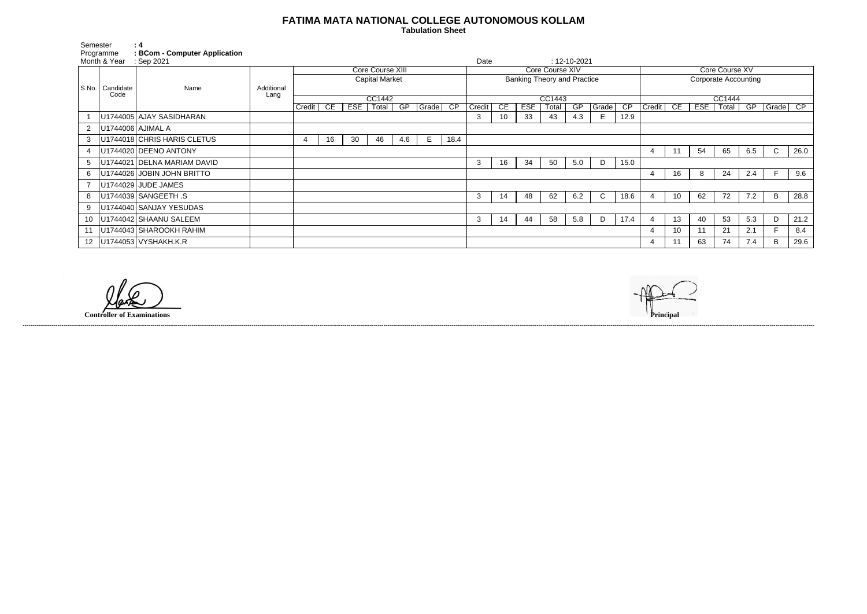## **FATIMA MATA NATIONAL COLLEGE AUTONOMOUS KOLLAM**

 **Tabulation Sheet** 

| Semester                  |                   | : 4                                              |                    |                       |    |     |       |     |                                    |                 |        |    |                    |       |     |              |                             |                |                 |            |       |     |              |      |
|---------------------------|-------------------|--------------------------------------------------|--------------------|-----------------------|----|-----|-------|-----|------------------------------------|-----------------|--------|----|--------------------|-------|-----|--------------|-----------------------------|----------------|-----------------|------------|-------|-----|--------------|------|
| Programme<br>Month & Year |                   | <b>BCom - Computer Application</b><br>: Sep 2021 |                    |                       |    |     |       |     | Date                               |                 |        |    | $: 12 - 10 - 2021$ |       |     |              |                             |                |                 |            |       |     |              |      |
|                           | Candidate<br>Code | Name                                             | Additional<br>Lang | Core Course XIII      |    |     |       |     |                                    | Core Course XIV |        |    |                    |       |     |              |                             | Core Course XV |                 |            |       |     |              |      |
| S.No.                     |                   |                                                  |                    | <b>Capital Market</b> |    |     |       |     | <b>Banking Theory and Practice</b> |                 |        |    |                    |       |     |              | <b>Corporate Accounting</b> |                |                 |            |       |     |              |      |
|                           |                   |                                                  |                    |                       |    |     |       |     |                                    |                 |        |    |                    |       |     |              |                             |                |                 |            |       |     |              |      |
|                           |                   |                                                  |                    | CC1442                |    |     |       |     | CC1443                             |                 |        |    |                    |       |     | CC1444       |                             |                |                 |            |       |     |              |      |
|                           |                   |                                                  |                    | Credit                | CE | ESE | Total | GP  | Grade                              | CP              | Credit | CE | <b>ESE</b>         | Total | GP  | Grade        | $\overline{CP}$             | Credit         | CE              | <b>ESE</b> | Total | GP  | Grade        | CP   |
|                           |                   | U1744005 AJAY SASIDHARAN                         |                    |                       |    |     |       |     |                                    |                 | 3      | 10 | 33                 | 43    | 4.3 | E            | 12.9                        |                |                 |            |       |     |              |      |
| $\mathbf{2}$              | U1744006 AJIMAL A |                                                  |                    |                       |    |     |       |     |                                    |                 |        |    |                    |       |     |              |                             |                |                 |            |       |     |              |      |
| 3                         |                   | U1744018 CHRIS HARIS CLETUS                      |                    | 4                     | 16 | 30  | 46    | 4.6 | E                                  | 18.4            |        |    |                    |       |     |              |                             |                |                 |            |       |     |              |      |
| 4                         |                   | U1744020 DEENO ANTONY                            |                    |                       |    |     |       |     |                                    |                 |        |    |                    |       |     |              |                             | 4              | 11              | 54         | 65    | 6.5 | $\mathsf{C}$ | 26.0 |
| 5                         |                   | U1744021 DELNA MARIAM DAVID                      |                    |                       |    |     |       |     |                                    |                 | 3      | 16 | 34                 | 50    | 5.0 | D            | 15.0                        |                |                 |            |       |     |              |      |
| 6                         |                   | U1744026 JOBIN JOHN BRITTO                       |                    |                       |    |     |       |     |                                    |                 |        |    |                    |       |     |              |                             | $\overline{4}$ | 16              | 8          | 24    | 2.4 |              | 9.6  |
|                           |                   | U1744029 JUDE JAMES                              |                    |                       |    |     |       |     |                                    |                 |        |    |                    |       |     |              |                             |                |                 |            |       |     |              |      |
| 8                         |                   | U1744039 SANGEETH .S                             |                    |                       |    |     |       |     |                                    |                 | 3      | 14 | 48                 | 62    | 6.2 | $\mathsf{C}$ | 18.6                        |                | 10              | 62         | 72    | 7.2 | B            | 28.8 |
|                           |                   | U1744040 SANJAY YESUDAS                          |                    |                       |    |     |       |     |                                    |                 |        |    |                    |       |     |              |                             |                |                 |            |       |     |              |      |
| 10                        |                   | U1744042 SHAANU SALEEM                           |                    |                       |    |     |       |     |                                    |                 | 3      | 14 | -44                | 58    | 5.8 | D            | 17.4                        | 4              | 13              | 40         | 53    | 5.3 | D            | 21.2 |
| 11                        |                   | U1744043 SHAROOKH RAHIM                          |                    |                       |    |     |       |     |                                    |                 |        |    |                    |       |     |              |                             | $\overline{4}$ | 10 <sup>°</sup> | 11         | 21    | 2.1 |              | 8.4  |
|                           |                   | 12   U1744053   VYSHAKH.K.R                      |                    |                       |    |     |       |     |                                    |                 |        |    |                    |       |     |              |                             | -4             |                 | 63         | 74    | 7.4 | B            | 29.6 |

------------------------------------------------------------------------------------------------------------------------------------------------------------------------------------------------------------------------------------------------------------------------------------------------------------------------------------------------------------------------------------------------------------------------

**Controller of Examinations**